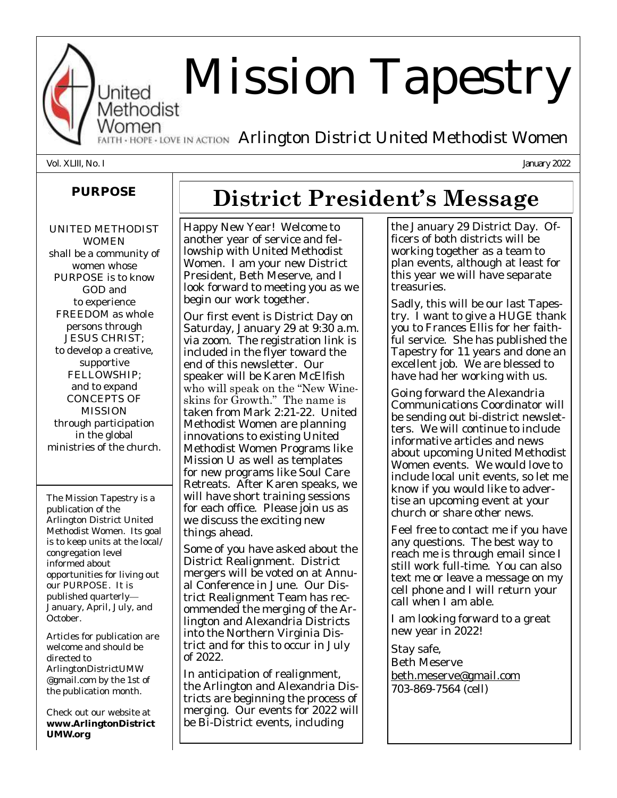Mission Tapestry **Methodist** 

Women FAITH - HOPE - LOVE IN ACTION Arlington District United Methodist Women

### Vol. XLIII, No. I

### **PURPOSE**

United

UNITED METHODIST WOMEN shall be a community of women whose PURPOSE is to know GOD and to experience FREEDOM as whole persons through JESUS CHRIST; to develop a creative, supportive FELLOWSHIP; and to expand CONCEPTS OF MISSION through participation in the global ministries of the church.

The Mission Tapestry is a publication of the Arlington District United Methodist Women. Its goal is to keep units at the local/ congregation level informed about opportunities for living out our PURPOSE. It is published quarterly— January, April, July, and October.

Articles for publication are welcome and should be directed to ArlingtonDistrictUMW @gmail.com by the 1st of the publication month.

Check out our website at **www.ArlingtonDistrict UMW.org**

## **District President's Message**

Happy New Year! Welcome to another year of service and fellowship with United Methodist Women. I am your new District President, Beth Meserve, and I look forward to meeting you as we begin our work together.

Our first event is District Day on Saturday, January 29 at 9:30 a.m. via zoom. The registration link is included in the flyer toward the end of this newsletter. Our speaker will be Karen McElfish who will speak on the "New Wineskins for Growth." The name is taken from Mark 2:21-22. United Methodist Women are planning innovations to existing United Methodist Women Programs like Mission U as well as templates for new programs like Soul Care Retreats. After Karen speaks, we will have short training sessions for each office. Please join us as we discuss the exciting new things ahead.

Some of you have asked about the District Realignment. District mergers will be voted on at Annual Conference in June. Our District Realignment Team has recommended the merging of the Arlington and Alexandria Districts into the Northern Virginia District and for this to occur in July of 2022.

In anticipation of realignment, the Arlington and Alexandria Districts are beginning the process of merging. Our events for 2022 will be Bi-District events, including

the January 29 District Day. Officers of both districts will be working together as a team to plan events, although at least for this year we will have separate treasuries.

Sadly, this will be our last Tapestry. I want to give a HUGE thank you to Frances Ellis for her faithful service. She has published the Tapestry for 11 years and done an excellent job. We are blessed to have had her working with us.

Going forward the Alexandria Communications Coordinator will be sending out bi-district newsletters. We will continue to include informative articles and news about upcoming United Methodist Women events. We would love to include local unit events, so let me know if you would like to advertise an upcoming event at your church or share other news.

Feel free to contact me if you have any questions. The best way to reach me is through email since I still work full-time. You can also text me or leave a message on my cell phone and I will return your call when I am able.

I am looking forward to a great new year in 2022!

Stay safe, Beth Meserve [beth.meserve@gmail.com](mailto:beth.meserve@gmail.com) 703-869-7564 (cell)

January 2022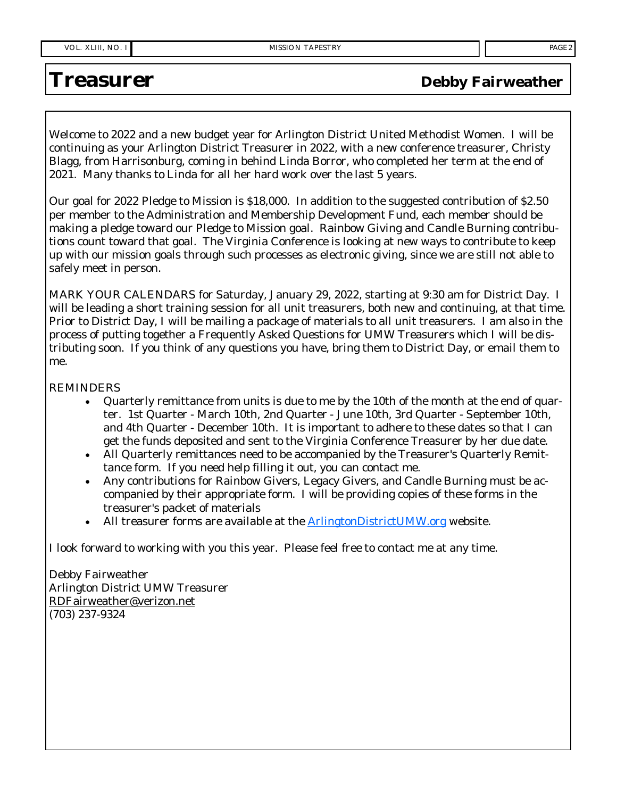### **Treasurer Debby Fairweather**

Welcome to 2022 and a new budget year for Arlington District United Methodist Women. I will be continuing as your Arlington District Treasurer in 2022, with a new conference treasurer, Christy Blagg, from Harrisonburg, coming in behind Linda Borror, who completed her term at the end of 2021. Many thanks to Linda for all her hard work over the last 5 years.

Our goal for 2022 Pledge to Mission is \$18,000. In addition to the suggested contribution of \$2.50 per member to the Administration and Membership Development Fund, each member should be making a pledge toward our Pledge to Mission goal. Rainbow Giving and Candle Burning contributions count toward that goal. The Virginia Conference is looking at new ways to contribute to keep up with our mission goals through such processes as electronic giving, since we are still not able to safely meet in person.

MARK YOUR CALENDARS for Saturday, January 29, 2022, starting at 9:30 am for District Day. I will be leading a short training session for all unit treasurers, both new and continuing, at that time. Prior to District Day, I will be mailing a package of materials to all unit treasurers. I am also in the process of putting together a Frequently Asked Questions for UMW Treasurers which I will be distributing soon. If you think of any questions you have, bring them to District Day, or email them to me.

### REMINDERS

- Quarterly remittance from units is due to me by the 10th of the month at the end of quarter. 1st Quarter - March 10th, 2nd Quarter - June 10th, 3rd Quarter - September 10th, and 4th Quarter - December 10th. It is important to adhere to these dates so that I can get the funds deposited and sent to the Virginia Conference Treasurer by her due date.
- All Quarterly remittances need to be accompanied by the Treasurer's Quarterly Remittance form. If you need help filling it out, you can contact me.
- Any contributions for Rainbow Givers, Legacy Givers, and Candle Burning must be accompanied by their appropriate form. I will be providing copies of these forms in the treasurer's packet of materials
- All treasurer forms are available at the [ArlingtonDistrictUMW.org](http://www.arlingtondistrictumw.org/) website.

I look forward to working with you this year. Please feel free to contact me at any time.

Debby Fairweather Arlington District UMW Treasurer [RDFairweather@verizon.net](mailto:RDFairweather@verizon.net) (703) 237-9324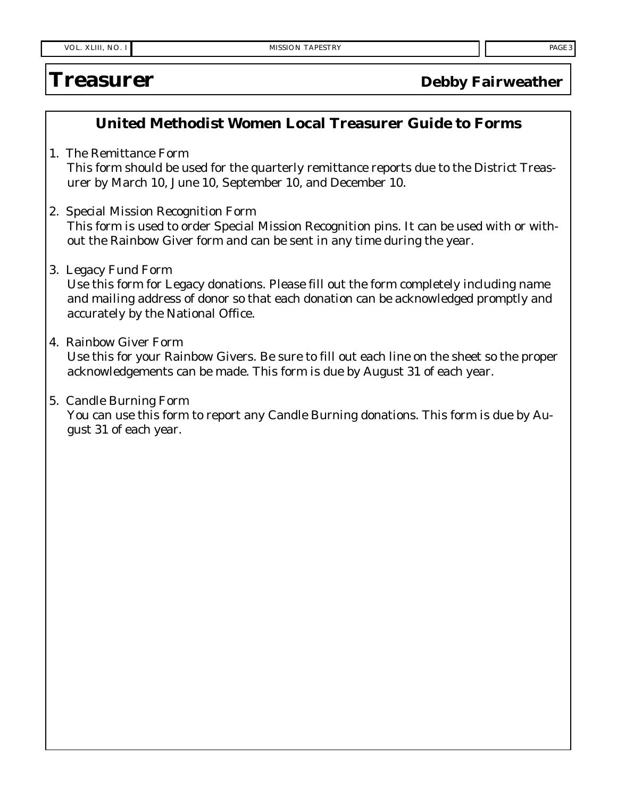### **Treasurer Debby Fairweather**

**United Methodist Women Local Treasurer Guide to Forms**

- 1. The Remittance Form This form should be used for the quarterly remittance reports due to the District Treasurer by March 10, June 10, September 10, and December 10.
- 2. Special Mission Recognition Form This form is used to order Special Mission Recognition pins. It can be used with or without the Rainbow Giver form and can be sent in any time during the year.
- 3. Legacy Fund Form Use this form for Legacy donations. Please fill out the form completely including name and mailing address of donor so that each donation can be acknowledged promptly and accurately by the National Office.
- 4. Rainbow Giver Form

Use this for your Rainbow Givers. Be sure to fill out each line on the sheet so the proper acknowledgements can be made. This form is due by August 31 of each year.

5. Candle Burning Form You can use this form to report any Candle Burning donations. This form is due by August 31 of each year.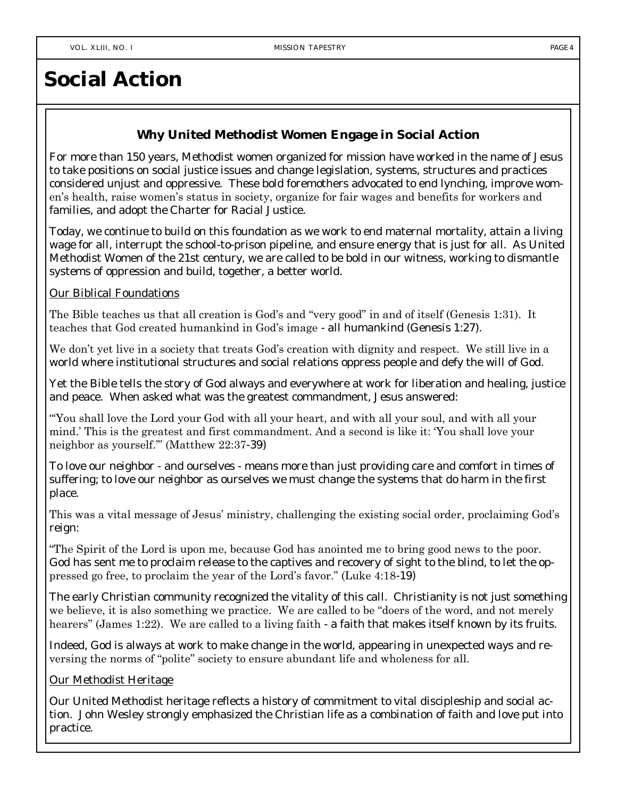## **Social Action**

### **Why United Methodist Women Engage in Social Action**

For more than 150 years, Methodist women organized for mission have worked in the name of Jesus to take positions on social justice issues and change legislation, systems, structures and practices considered unjust and oppressive. These bold foremothers advocated to end lynching, improve women's health, raise women's status in society, organize for fair wages and benefits for workers and families, and adopt the Charter for Racial Justice.

Today, we continue to build on this foundation as we work to end maternal mortality, attain a living wage for all, interrupt the school-to-prison pipeline, and ensure energy that is just for all. As United Methodist Women of the 21st century, we are called to be bold in our witness, working to dismantle systems of oppression and build, together, a better world.

### Our Biblical Foundations

The Bible teaches us that all creation is God's and "very good" in and of itself (Genesis 1:31). It teaches that God created humankind in God's image - all humankind (Genesis 1:27).

We don't yet live in a society that treats God's creation with dignity and respect. We still live in a world where institutional structures and social relations oppress people and defy the will of God.

Yet the Bible tells the story of God always and everywhere at work for liberation and healing, justice and peace. When asked what was the greatest commandment, Jesus answered:

"'You shall love the Lord your God with all your heart, and with all your soul, and with all your mind.' This is the greatest and first commandment. And a second is like it: 'You shall love your neighbor as yourself.'" (Matthew 22:37-39)

To love our neighbor - and ourselves - means more than just providing care and comfort in times of suffering; to love our neighbor as ourselves we must change the systems that do harm in the first place.

This was a vital message of Jesus' ministry, challenging the existing social order, proclaiming God's reign:

"The Spirit of the Lord is upon me, because God has anointed me to bring good news to the poor. God has sent me to proclaim release to the captives and recovery of sight to the blind, to let the oppressed go free, to proclaim the year of the Lord's favor." (Luke 4:18-19)

The early Christian community recognized the vitality of this call. Christianity is not just something we believe, it is also something we practice. We are called to be "doers of the word, and not merely hearers" (James 1:22). We are called to a living faith - a faith that makes itself known by its fruits.

Indeed, God is always at work to make change in the world, appearing in unexpected ways and reversing the norms of "polite" society to ensure abundant life and wholeness for all.

Our Methodist Heritage

Our United Methodist heritage reflects a history of commitment to vital discipleship and social action. John Wesley strongly emphasized the Christian life as a combination of faith and love put into practice.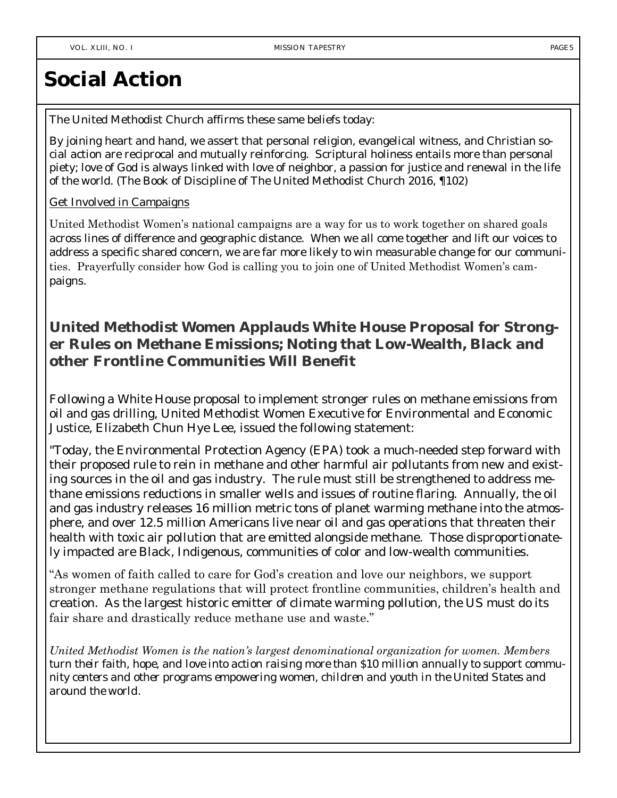## **Social Action**

The United Methodist Church affirms these same beliefs today:

By joining heart and hand, we assert that personal religion, evangelical witness, and Christian social action are reciprocal and mutually reinforcing. Scriptural holiness entails more than personal piety; love of God is always linked with love of neighbor, a passion for justice and renewal in the life of the world. (The Book of Discipline of The United Methodist Church 2016, ¶102)

Get Involved in Campaigns

United Methodist Women's national campaigns are a way for us to work together on shared goals across lines of difference and geographic distance. When we all come together and lift our voices to address a specific shared concern, we are far more likely to win measurable change for our communities. Prayerfully consider how God is calling you to join one of United Methodist Women's campaigns.

**United Methodist Women Applauds White House Proposal for Stronger Rules on Methane Emissions; Noting that Low-Wealth, Black and other Frontline Communities Will Benefit**

Following a White House proposal to implement stronger rules on methane emissions from oil and gas drilling, United Methodist Women Executive for Environmental and Economic Justice, Elizabeth Chun Hye Lee, issued the following statement:

"Today, the Environmental Protection Agency (EPA) took a much-needed step forward with their proposed rule to rein in methane and other harmful air pollutants from new and existing sources in the oil and gas industry. The rule must still be strengthened to address methane emissions reductions in smaller wells and issues of routine flaring. Annually, the oil and gas industry releases 16 million metric tons of planet warming methane into the atmosphere, and over 12.5 million Americans live near oil and gas operations that threaten their health with toxic air pollution that are emitted alongside methane. Those disproportionately impacted are Black, Indigenous, communities of color and low-wealth communities.

"As women of faith called to care for God's creation and love our neighbors, we support stronger methane regulations that will protect frontline communities, children's health and creation. As the largest historic emitter of climate warming pollution, the US must do its fair share and drastically reduce methane use and waste."

*United Methodist Women is the nation's largest denominational organization for women. Members turn their faith, hope, and love into action raising more than \$10 million annually to support community centers and other programs empowering women, children and youth in the United States and around the world.*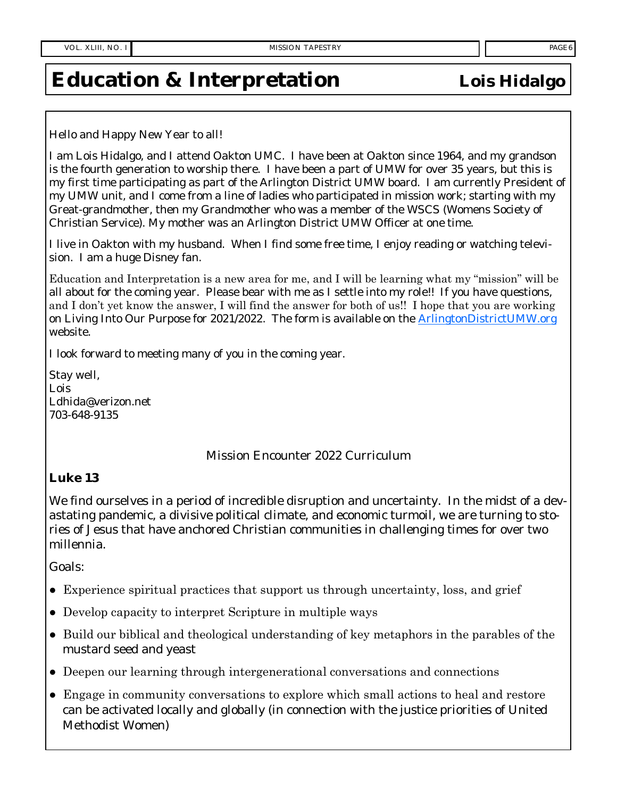## **Education & Interpretation Lois Hidalgo**

Hello and Happy New Year to all!

I am Lois Hidalgo, and I attend Oakton UMC. I have been at Oakton since 1964, and my grandson is the fourth generation to worship there. I have been a part of UMW for over 35 years, but this is my first time participating as part of the Arlington District UMW board. I am currently President of my UMW unit, and I come from a line of ladies who participated in mission work; starting with my Great-grandmother, then my Grandmother who was a member of the WSCS (Womens Society of Christian Service). My mother was an Arlington District UMW Officer at one time.

I live in Oakton with my husband. When I find some free time, I enjoy reading or watching television. I am a huge Disney fan.

Education and Interpretation is a new area for me, and I will be learning what my "mission" will be all about for the coming year. Please bear with me as I settle into my role!! If you have questions, and I don't yet know the answer, I will find the answer for both of us!! I hope that you are working on Living Into Our Purpose for 2021/2022. The form is available on the **[ArlingtonDistrictUMW.org](http://www.arlingtondistrictumw.org)** website.

I look forward to meeting many of you in the coming year.

Stay well, Lois Ldhida@verizon.net 703-648-9135

### Mission Encounter 2022 Curriculum

**Luke 13**

We find ourselves in a period of incredible disruption and uncertainty. In the midst of a devastating pandemic, a divisive political climate, and economic turmoil, we are turning to stories of Jesus that have anchored Christian communities in challenging times for over two millennia.

Goals:

- Experience spiritual practices that support us through uncertainty, loss, and grief
- Develop capacity to interpret Scripture in multiple ways
- Build our biblical and theological understanding of key metaphors in the parables of the mustard seed and yeast
- Deepen our learning through intergenerational conversations and connections
- Engage in community conversations to explore which small actions to heal and restore can be activated locally and globally (in connection with the justice priorities of United Methodist Women)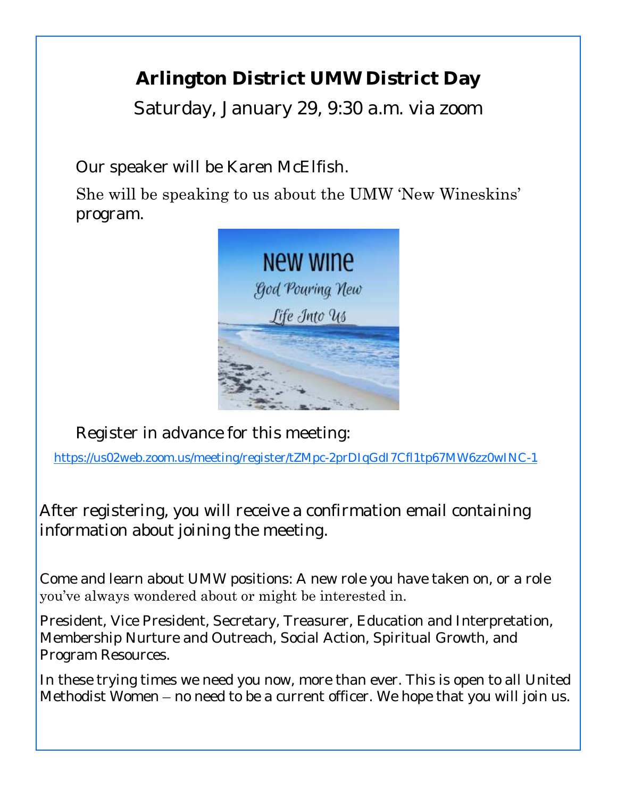## **Arlington District UMW District Day** Saturday, January 29, 9:30 a.m. via zoom

Our speaker will be Karen McElfish.

She will be speaking to us about the UMW 'New Wineskins' program.



Register in advance for this meeting:

<https://us02web.zoom.us/meeting/register/tZMpc-2prDIqGdI7Cfl1tp67MW6zz0wINC-1>

After registering, you will receive a confirmation email containing information about joining the meeting.

Come and learn about UMW positions: A new role you have taken on, or a role you've always wondered about or might be interested in.

President, Vice President, Secretary, Treasurer, Education and Interpretation, Membership Nurture and Outreach, Social Action, Spiritual Growth, and Program Resources.

In these trying times we need you now, more than ever. This is open to all United Methodist Women – no need to be a current officer. We hope that you will join us.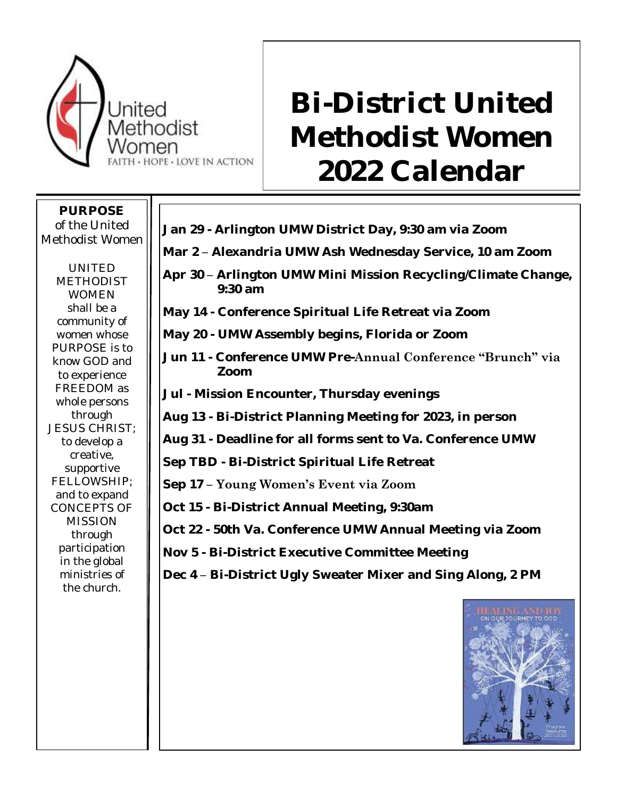

 $\sqrt{ }$ 

# **Bi-District United Methodist Women 2022 Calendar**

**PURPOSE**  of the United Methodist Women

UNITED **METHODIST** WOMEN shall be a community of women whose PURPOSE is to know GOD and to experience FREEDOM as whole persons through JESUS CHRIST; to develop a creative, supportive FELLOWSHIP; and to expand CONCEPTS OF MISSION through participation in the global ministries of the church.

| Jan 29 - Arlington UMW District Day, 9:30 am via Zoom                      |
|----------------------------------------------------------------------------|
| Mar 2 - Alexandria UMW Ash Wednesday Service, 10 am Zoom                   |
| Apr 30 - Arlington UMW Mini Mission Recycling/Climate Change,<br>$9:30$ am |
| May 14 - Conference Spiritual Life Retreat via Zoom                        |
| May 20 - UMW Assembly begins, Florida or Zoom                              |
| Jun 11 - Conference UMW Pre-Annual Conference "Brunch" via<br>Zoom         |
| Jul - Mission Encounter, Thursday evenings                                 |
| Aug 13 - Bi-District Planning Meeting for 2023, in person                  |
| Aug 31 - Deadline for all forms sent to Va. Conference UMW                 |
| Sep TBD - Bi-District Spiritual Life Retreat                               |
| Sep 17 - Young Women's Event via Zoom                                      |
| Oct 15 - Bi-District Annual Meeting, 9:30am                                |
| Oct 22 - 50th Va. Conference UMW Annual Meeting via Zoom                   |
| Nov 5 - Bi-District Executive Committee Meeting                            |
| Dec 4 – Bi-District Ugly Sweater Mixer and Sing Along, 2 PM                |
|                                                                            |